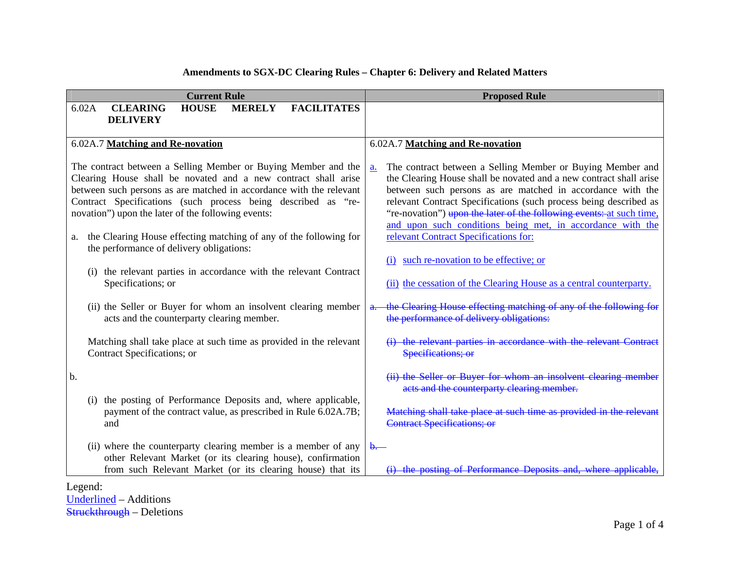| <b>Current Rule</b>                                                                                                                                                                                                                                                                                                                                                                                                                                   | <b>Proposed Rule</b>                                                                                                                                                                                                                                                                                                                                                                                                                                                                                 |  |  |
|-------------------------------------------------------------------------------------------------------------------------------------------------------------------------------------------------------------------------------------------------------------------------------------------------------------------------------------------------------------------------------------------------------------------------------------------------------|------------------------------------------------------------------------------------------------------------------------------------------------------------------------------------------------------------------------------------------------------------------------------------------------------------------------------------------------------------------------------------------------------------------------------------------------------------------------------------------------------|--|--|
| <b>CLEARING</b><br>6.02A<br><b>HOUSE</b><br><b>FACILITATES</b><br><b>MERELY</b><br><b>DELIVERY</b>                                                                                                                                                                                                                                                                                                                                                    |                                                                                                                                                                                                                                                                                                                                                                                                                                                                                                      |  |  |
| 6.02A.7 Matching and Re-novation                                                                                                                                                                                                                                                                                                                                                                                                                      | 6.02A.7 Matching and Re-novation                                                                                                                                                                                                                                                                                                                                                                                                                                                                     |  |  |
| The contract between a Selling Member or Buying Member and the<br>Clearing House shall be novated and a new contract shall arise<br>between such persons as are matched in accordance with the relevant<br>Contract Specifications (such process being described as "re-<br>novation") upon the later of the following events:<br>the Clearing House effecting matching of any of the following for<br>a.<br>the performance of delivery obligations: | The contract between a Selling Member or Buying Member and<br>a.<br>the Clearing House shall be novated and a new contract shall arise<br>between such persons as are matched in accordance with the<br>relevant Contract Specifications (such process being described as<br>"re-novation") upon the later of the following events: at such time,<br>and upon such conditions being met, in accordance with the<br>relevant Contract Specifications for:<br>(i) such re-novation to be effective; or |  |  |
| (i) the relevant parties in accordance with the relevant Contract<br>Specifications; or                                                                                                                                                                                                                                                                                                                                                               | (ii) the cessation of the Clearing House as a central counterparty.                                                                                                                                                                                                                                                                                                                                                                                                                                  |  |  |
| (ii) the Seller or Buyer for whom an insolvent clearing member<br>acts and the counterparty clearing member.                                                                                                                                                                                                                                                                                                                                          | the Clearing House effecting matching of any of the following for<br>a.<br>the performance of delivery obligations:                                                                                                                                                                                                                                                                                                                                                                                  |  |  |
| Matching shall take place at such time as provided in the relevant<br>Contract Specifications; or                                                                                                                                                                                                                                                                                                                                                     | (i) the relevant parties in accordance with the relevant Contract<br>Specifications; or                                                                                                                                                                                                                                                                                                                                                                                                              |  |  |
| b.                                                                                                                                                                                                                                                                                                                                                                                                                                                    | (ii) the Seller or Buyer for whom an insolvent clearing member<br>acts and the counterparty clearing member.                                                                                                                                                                                                                                                                                                                                                                                         |  |  |
| the posting of Performance Deposits and, where applicable,<br>(i)<br>payment of the contract value, as prescribed in Rule 6.02A.7B;<br>and                                                                                                                                                                                                                                                                                                            | Matching shall take place at such time as provided in the relevant<br><b>Contract Specifications; or</b>                                                                                                                                                                                                                                                                                                                                                                                             |  |  |
| (ii) where the counterparty clearing member is a member of any<br>other Relevant Market (or its clearing house), confirmation<br>from such Relevant Market (or its clearing house) that its                                                                                                                                                                                                                                                           | $\theta$ .<br>of Performance Deposits and, where                                                                                                                                                                                                                                                                                                                                                                                                                                                     |  |  |

## **Amendments to SGX-DC Clearing Rules – Chapter 6: Delivery and Related Matters**

Legend:

<u>Underlined</u> – Additions<br><del>Struckthrough</del> – Deletions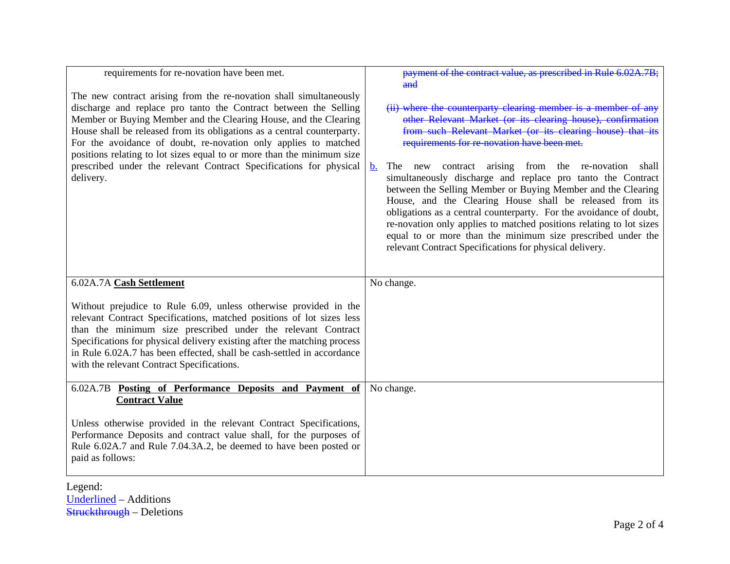| requirements for re-novation have been met.                                                                                                                                                                                                                                                                                                                                                                                                                                                                           | payment of the contract value, as prescribed in Rule 6.02A.7B;<br>and                                                                                                                                                                                                                                                                                                                                                                                                                                                                                                                                                                                                                                                                                                                    |
|-----------------------------------------------------------------------------------------------------------------------------------------------------------------------------------------------------------------------------------------------------------------------------------------------------------------------------------------------------------------------------------------------------------------------------------------------------------------------------------------------------------------------|------------------------------------------------------------------------------------------------------------------------------------------------------------------------------------------------------------------------------------------------------------------------------------------------------------------------------------------------------------------------------------------------------------------------------------------------------------------------------------------------------------------------------------------------------------------------------------------------------------------------------------------------------------------------------------------------------------------------------------------------------------------------------------------|
| The new contract arising from the re-novation shall simultaneously<br>discharge and replace pro tanto the Contract between the Selling<br>Member or Buying Member and the Clearing House, and the Clearing<br>House shall be released from its obligations as a central counterparty.<br>For the avoidance of doubt, re-novation only applies to matched<br>positions relating to lot sizes equal to or more than the minimum size<br>prescribed under the relevant Contract Specifications for physical<br>delivery. | (ii) where the counterparty clearing member is a member of any<br>other Relevant Market (or its clearing house), confirmation<br>from such Relevant Market (or its clearing house) that its<br>requirements for re-novation have been met.<br>The new contract arising from the re-novation<br>$\mathbf{b}$ .<br>shall<br>simultaneously discharge and replace pro tanto the Contract<br>between the Selling Member or Buying Member and the Clearing<br>House, and the Clearing House shall be released from its<br>obligations as a central counterparty. For the avoidance of doubt,<br>re-novation only applies to matched positions relating to lot sizes<br>equal to or more than the minimum size prescribed under the<br>relevant Contract Specifications for physical delivery. |
| 6.02A.7A Cash Settlement                                                                                                                                                                                                                                                                                                                                                                                                                                                                                              | No change.                                                                                                                                                                                                                                                                                                                                                                                                                                                                                                                                                                                                                                                                                                                                                                               |
| Without prejudice to Rule 6.09, unless otherwise provided in the<br>relevant Contract Specifications, matched positions of lot sizes less<br>than the minimum size prescribed under the relevant Contract<br>Specifications for physical delivery existing after the matching process<br>in Rule 6.02A.7 has been effected, shall be cash-settled in accordance<br>with the relevant Contract Specifications.                                                                                                         |                                                                                                                                                                                                                                                                                                                                                                                                                                                                                                                                                                                                                                                                                                                                                                                          |
| 6.02A.7B Posting of Performance Deposits and Payment of<br><b>Contract Value</b>                                                                                                                                                                                                                                                                                                                                                                                                                                      | No change.                                                                                                                                                                                                                                                                                                                                                                                                                                                                                                                                                                                                                                                                                                                                                                               |
| Unless otherwise provided in the relevant Contract Specifications,<br>Performance Deposits and contract value shall, for the purposes of<br>Rule 6.02A.7 and Rule 7.04.3A.2, be deemed to have been posted or<br>paid as follows:                                                                                                                                                                                                                                                                                     |                                                                                                                                                                                                                                                                                                                                                                                                                                                                                                                                                                                                                                                                                                                                                                                          |

Legend: <u>Underlined</u> – Additions<br><del>Struckthrough</del> – Deletions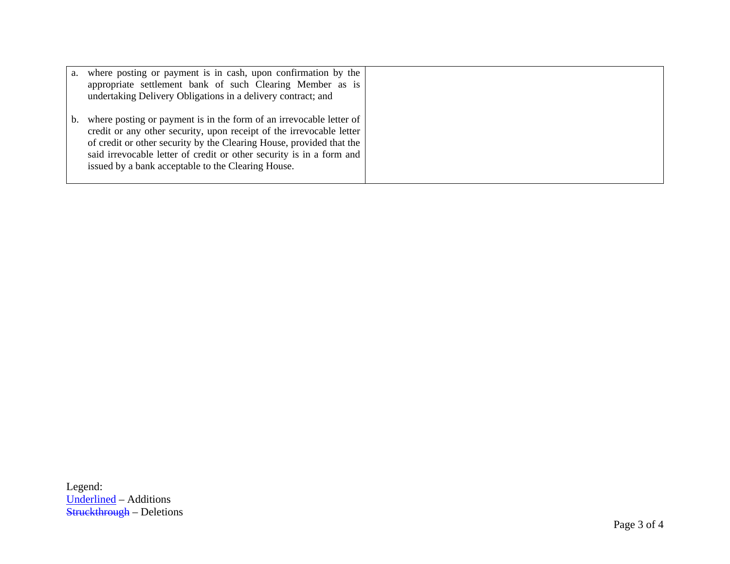| where posting or payment is in cash, upon confirmation by the<br>а.<br>appropriate settlement bank of such Clearing Member as is<br>undertaking Delivery Obligations in a delivery contract; and                                                                                                                                                        |  |
|---------------------------------------------------------------------------------------------------------------------------------------------------------------------------------------------------------------------------------------------------------------------------------------------------------------------------------------------------------|--|
| where posting or payment is in the form of an irrevocable letter of<br>b.<br>credit or any other security, upon receipt of the irrevocable letter<br>of credit or other security by the Clearing House, provided that the<br>said irrevocable letter of credit or other security is in a form and<br>issued by a bank acceptable to the Clearing House. |  |

Legend: <u>Underlined</u> – Additions<br><del>Struckthrough</del> – Deletions